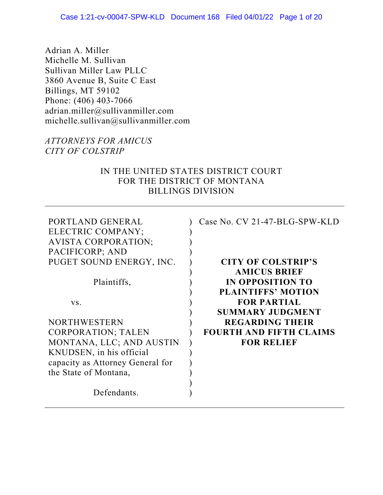Adrian A. Miller Michelle M. Sullivan Sullivan Miller Law PLLC 3860 Avenue B, Suite C East Billings, MT 59102 Phone: (406) 403-7066 adrian.miller@sullivanmiller.com michelle.sullivan@sullivanmiller.com

## *ATTORNEYS FOR AMICUS CITY OF COLSTRIP*

## IN THE UNITED STATES DISTRICT COURT FOR THE DISTRICT OF MONTANA BILLINGS DIVISION

| PORTLAND GENERAL<br>ELECTRIC COMPANY;<br><b>AVISTA CORPORATION;</b><br>PACIFICORP; AND | Case No. CV 21-47-BLG-SPW-KLD  |
|----------------------------------------------------------------------------------------|--------------------------------|
| PUGET SOUND ENERGY, INC.                                                               | <b>CITY OF COLSTRIP'S</b>      |
|                                                                                        | <b>AMICUS BRIEF</b>            |
| Plaintiffs,                                                                            | IN OPPOSITION TO               |
|                                                                                        | <b>PLAINTIFFS' MOTION</b>      |
| VS.                                                                                    | <b>FOR PARTIAL</b>             |
|                                                                                        | <b>SUMMARY JUDGMENT</b>        |
| <b>NORTHWESTERN</b>                                                                    | <b>REGARDING THEIR</b>         |
| <b>CORPORATION; TALEN</b>                                                              | <b>FOURTH AND FIFTH CLAIMS</b> |
| MONTANA, LLC; AND AUSTIN                                                               | <b>FOR RELIEF</b>              |
| KNUDSEN, in his official                                                               |                                |
| capacity as Attorney General for                                                       |                                |
| the State of Montana,                                                                  |                                |
| Defendants.                                                                            |                                |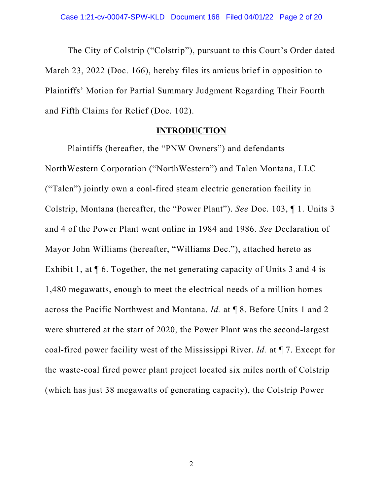The City of Colstrip ("Colstrip"), pursuant to this Court's Order dated March 23, 2022 (Doc. 166), hereby files its amicus brief in opposition to Plaintiffs' Motion for Partial Summary Judgment Regarding Their Fourth and Fifth Claims for Relief (Doc. 102).

#### **INTRODUCTION**

Plaintiffs (hereafter, the "PNW Owners") and defendants NorthWestern Corporation ("NorthWestern") and Talen Montana, LLC ("Talen") jointly own a coal-fired steam electric generation facility in Colstrip, Montana (hereafter, the "Power Plant"). *See* Doc. 103, ¶ 1. Units 3 and 4 of the Power Plant went online in 1984 and 1986. *See* Declaration of Mayor John Williams (hereafter, "Williams Dec."), attached hereto as Exhibit 1, at  $\P$  6. Together, the net generating capacity of Units 3 and 4 is 1,480 megawatts, enough to meet the electrical needs of a million homes across the Pacific Northwest and Montana. *Id.* at ¶ 8. Before Units 1 and 2 were shuttered at the start of 2020, the Power Plant was the second-largest coal-fired power facility west of the Mississippi River. *Id.* at ¶ 7. Except for the waste-coal fired power plant project located six miles north of Colstrip (which has just 38 megawatts of generating capacity), the Colstrip Power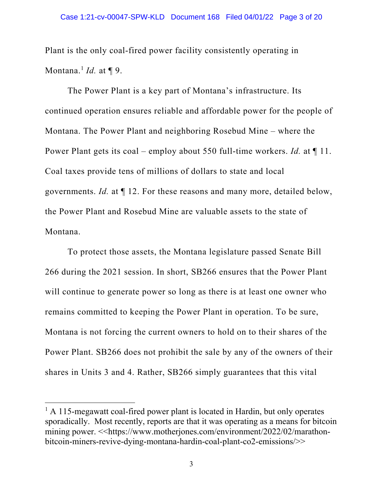Plant is the only coal-fired power facility consistently operating in Montana.1 *Id.* at ¶ 9.

The Power Plant is a key part of Montana's infrastructure. Its continued operation ensures reliable and affordable power for the people of Montana. The Power Plant and neighboring Rosebud Mine – where the Power Plant gets its coal – employ about 550 full-time workers. *Id.* at ¶ 11. Coal taxes provide tens of millions of dollars to state and local governments. *Id.* at ¶ 12. For these reasons and many more, detailed below, the Power Plant and Rosebud Mine are valuable assets to the state of Montana.

To protect those assets, the Montana legislature passed Senate Bill 266 during the 2021 session. In short, SB266 ensures that the Power Plant will continue to generate power so long as there is at least one owner who remains committed to keeping the Power Plant in operation. To be sure, Montana is not forcing the current owners to hold on to their shares of the Power Plant. SB266 does not prohibit the sale by any of the owners of their shares in Units 3 and 4. Rather, SB266 simply guarantees that this vital

<sup>&</sup>lt;sup>1</sup> A 115-megawatt coal-fired power plant is located in Hardin, but only operates sporadically. Most recently, reports are that it was operating as a means for bitcoin mining power. <<https://www.motherjones.com/environment/2022/02/marathonbitcoin-miners-revive-dying-montana-hardin-coal-plant-co2-emissions/>>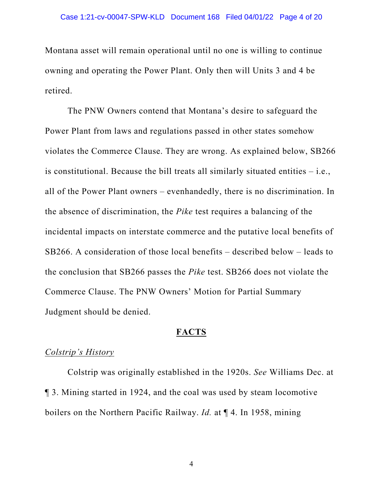Montana asset will remain operational until no one is willing to continue owning and operating the Power Plant. Only then will Units 3 and 4 be retired.

The PNW Owners contend that Montana's desire to safeguard the Power Plant from laws and regulations passed in other states somehow violates the Commerce Clause. They are wrong. As explained below, SB266 is constitutional. Because the bill treats all similarly situated entities – i.e., all of the Power Plant owners – evenhandedly, there is no discrimination. In the absence of discrimination, the *Pike* test requires a balancing of the incidental impacts on interstate commerce and the putative local benefits of SB266. A consideration of those local benefits – described below – leads to the conclusion that SB266 passes the *Pike* test. SB266 does not violate the Commerce Clause. The PNW Owners' Motion for Partial Summary Judgment should be denied.

#### **FACTS**

### *Colstrip's History*

Colstrip was originally established in the 1920s. *See* Williams Dec. at ¶ 3. Mining started in 1924, and the coal was used by steam locomotive boilers on the Northern Pacific Railway. *Id.* at ¶ 4. In 1958, mining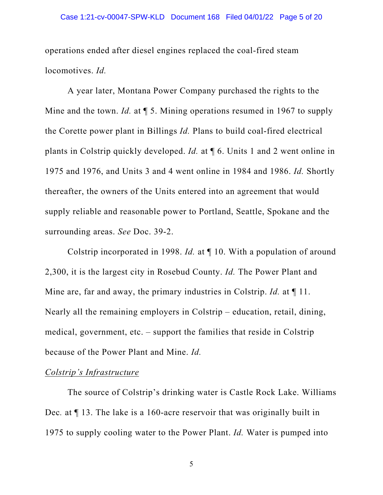operations ended after diesel engines replaced the coal-fired steam locomotives. *Id.*

A year later, Montana Power Company purchased the rights to the Mine and the town. *Id.* at ¶ 5. Mining operations resumed in 1967 to supply the Corette power plant in Billings *Id.* Plans to build coal-fired electrical plants in Colstrip quickly developed. *Id.* at ¶ 6. Units 1 and 2 went online in 1975 and 1976, and Units 3 and 4 went online in 1984 and 1986. *Id.* Shortly thereafter, the owners of the Units entered into an agreement that would supply reliable and reasonable power to Portland, Seattle, Spokane and the surrounding areas. *See* Doc. 39-2.

Colstrip incorporated in 1998. *Id.* at ¶ 10. With a population of around 2,300, it is the largest city in Rosebud County. *Id.* The Power Plant and Mine are, far and away, the primary industries in Colstrip. *Id.* at ¶ 11. Nearly all the remaining employers in Colstrip – education, retail, dining, medical, government, etc. – support the families that reside in Colstrip because of the Power Plant and Mine. *Id.*

## *Colstrip's Infrastructure*

The source of Colstrip's drinking water is Castle Rock Lake. Williams Dec*.* at ¶ 13. The lake is a 160-acre reservoir that was originally built in 1975 to supply cooling water to the Power Plant. *Id.* Water is pumped into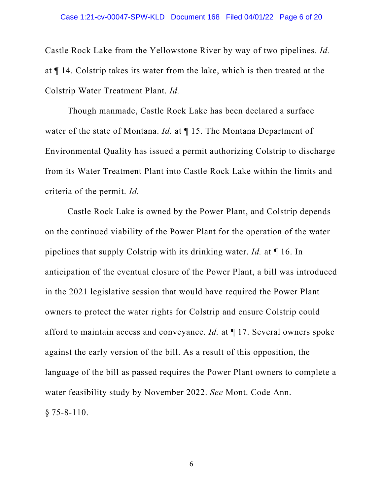Castle Rock Lake from the Yellowstone River by way of two pipelines. *Id.* at ¶ 14. Colstrip takes its water from the lake, which is then treated at the Colstrip Water Treatment Plant. *Id.* 

Though manmade, Castle Rock Lake has been declared a surface water of the state of Montana. *Id.* at ¶ 15. The Montana Department of Environmental Quality has issued a permit authorizing Colstrip to discharge from its Water Treatment Plant into Castle Rock Lake within the limits and criteria of the permit. *Id.*

Castle Rock Lake is owned by the Power Plant, and Colstrip depends on the continued viability of the Power Plant for the operation of the water pipelines that supply Colstrip with its drinking water. *Id.* at ¶ 16. In anticipation of the eventual closure of the Power Plant, a bill was introduced in the 2021 legislative session that would have required the Power Plant owners to protect the water rights for Colstrip and ensure Colstrip could afford to maintain access and conveyance. *Id.* at ¶ 17. Several owners spoke against the early version of the bill. As a result of this opposition, the language of the bill as passed requires the Power Plant owners to complete a water feasibility study by November 2022. *See* Mont. Code Ann. § 75-8-110.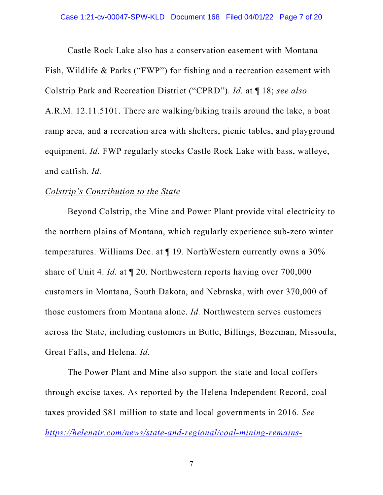Castle Rock Lake also has a conservation easement with Montana Fish, Wildlife & Parks ("FWP") for fishing and a recreation easement with Colstrip Park and Recreation District ("CPRD"). *Id.* at ¶ 18; *see also* A.R.M. 12.11.5101. There are walking/biking trails around the lake, a boat ramp area, and a recreation area with shelters, picnic tables, and playground equipment. *Id.* FWP regularly stocks Castle Rock Lake with bass, walleye, and catfish. *Id.* 

#### *Colstrip's Contribution to the State*

Beyond Colstrip, the Mine and Power Plant provide vital electricity to the northern plains of Montana, which regularly experience sub-zero winter temperatures. Williams Dec. at ¶ 19. NorthWestern currently owns a 30% share of Unit 4. *Id.* at ¶ 20. Northwestern reports having over 700,000 customers in Montana, South Dakota, and Nebraska, with over 370,000 of those customers from Montana alone. *Id.* Northwestern serves customers across the State, including customers in Butte, Billings, Bozeman, Missoula, Great Falls, and Helena. *Id.* 

The Power Plant and Mine also support the state and local coffers through excise taxes. As reported by the Helena Independent Record, coal taxes provided \$81 million to state and local governments in 2016. *See https://helenair.com/news/state-and-regional/coal-mining-remains-*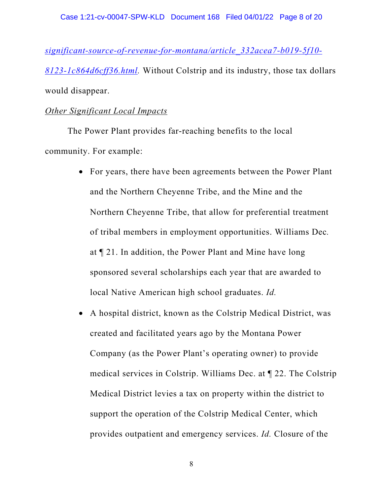*significant-source-of-revenue-for-montana/article\_332acea7-b019-5f10- 8123-1c864d6cff36.html.* Without Colstrip and its industry, those tax dollars would disappear.

## *Other Significant Local Impacts*

The Power Plant provides far-reaching benefits to the local community. For example:

- For years, there have been agreements between the Power Plant and the Northern Cheyenne Tribe, and the Mine and the Northern Cheyenne Tribe, that allow for preferential treatment of tribal members in employment opportunities. Williams Dec*.* at ¶ 21. In addition, the Power Plant and Mine have long sponsored several scholarships each year that are awarded to local Native American high school graduates. *Id.*
- A hospital district, known as the Colstrip Medical District, was created and facilitated years ago by the Montana Power Company (as the Power Plant's operating owner) to provide medical services in Colstrip. Williams Dec. at ¶ 22. The Colstrip Medical District levies a tax on property within the district to support the operation of the Colstrip Medical Center, which provides outpatient and emergency services. *Id.* Closure of the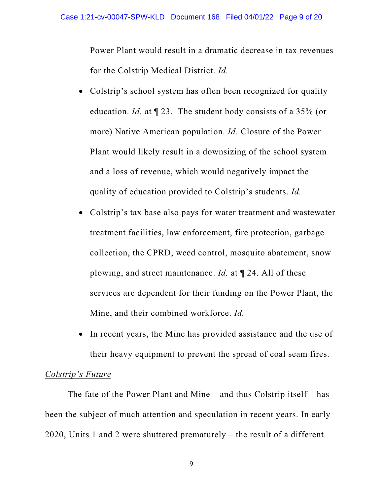Power Plant would result in a dramatic decrease in tax revenues for the Colstrip Medical District. *Id.*

- Colstrip's school system has often been recognized for quality education. *Id.* at ¶ 23. The student body consists of a 35% (or more) Native American population. *Id.* Closure of the Power Plant would likely result in a downsizing of the school system and a loss of revenue, which would negatively impact the quality of education provided to Colstrip's students. *Id.*
- Colstrip's tax base also pays for water treatment and wastewater treatment facilities, law enforcement, fire protection, garbage collection, the CPRD, weed control, mosquito abatement, snow plowing, and street maintenance. *Id.* at ¶ 24. All of these services are dependent for their funding on the Power Plant, the Mine, and their combined workforce. *Id.*
- In recent years, the Mine has provided assistance and the use of their heavy equipment to prevent the spread of coal seam fires.

### *Colstrip's Future*

The fate of the Power Plant and Mine – and thus Colstrip itself – has been the subject of much attention and speculation in recent years. In early 2020, Units 1 and 2 were shuttered prematurely – the result of a different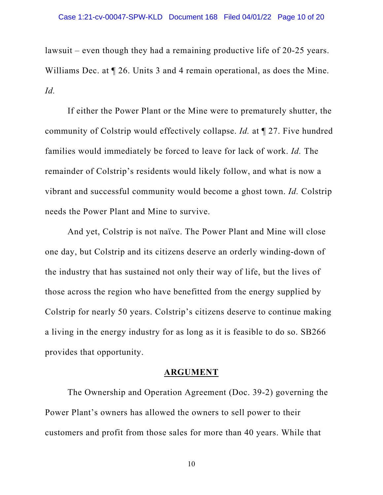lawsuit – even though they had a remaining productive life of 20-25 years. Williams Dec. at  $\P$  26. Units 3 and 4 remain operational, as does the Mine. *Id.*

If either the Power Plant or the Mine were to prematurely shutter, the community of Colstrip would effectively collapse. *Id.* at ¶ 27. Five hundred families would immediately be forced to leave for lack of work. *Id.* The remainder of Colstrip's residents would likely follow, and what is now a vibrant and successful community would become a ghost town. *Id.* Colstrip needs the Power Plant and Mine to survive.

And yet, Colstrip is not naïve. The Power Plant and Mine will close one day, but Colstrip and its citizens deserve an orderly winding-down of the industry that has sustained not only their way of life, but the lives of those across the region who have benefitted from the energy supplied by Colstrip for nearly 50 years. Colstrip's citizens deserve to continue making a living in the energy industry for as long as it is feasible to do so. SB266 provides that opportunity.

#### **ARGUMENT**

The Ownership and Operation Agreement (Doc. 39-2) governing the Power Plant's owners has allowed the owners to sell power to their customers and profit from those sales for more than 40 years. While that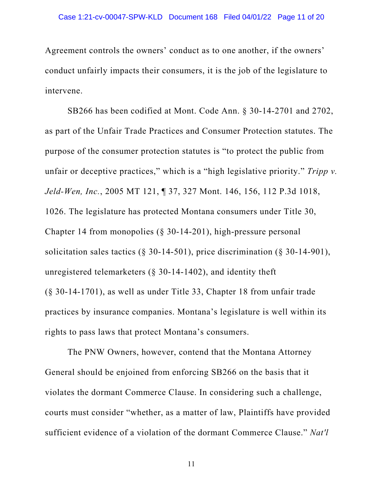Agreement controls the owners' conduct as to one another, if the owners' conduct unfairly impacts their consumers, it is the job of the legislature to intervene.

SB266 has been codified at Mont. Code Ann. § 30-14-2701 and 2702, as part of the Unfair Trade Practices and Consumer Protection statutes. The purpose of the consumer protection statutes is "to protect the public from unfair or deceptive practices," which is a "high legislative priority." *Tripp v. Jeld-Wen, Inc.*, 2005 MT 121, ¶ 37, 327 Mont. 146, 156, 112 P.3d 1018, 1026. The legislature has protected Montana consumers under Title 30, Chapter 14 from monopolies (§ 30-14-201), high-pressure personal solicitation sales tactics  $(\S 30-14-501)$ , price discrimination  $(\S 30-14-901)$ , unregistered telemarketers (§ 30-14-1402), and identity theft (§ 30-14-1701), as well as under Title 33, Chapter 18 from unfair trade practices by insurance companies. Montana's legislature is well within its rights to pass laws that protect Montana's consumers.

 The PNW Owners, however, contend that the Montana Attorney General should be enjoined from enforcing SB266 on the basis that it violates the dormant Commerce Clause. In considering such a challenge, courts must consider "whether, as a matter of law, Plaintiffs have provided sufficient evidence of a violation of the dormant Commerce Clause." *Nat'l*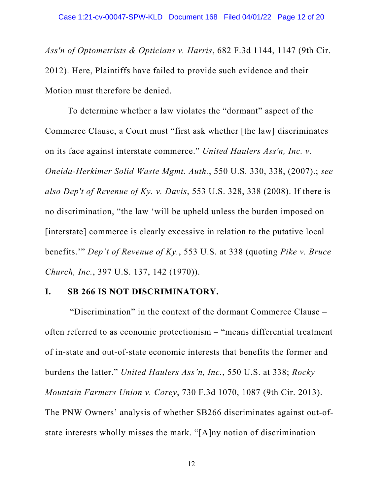*Ass'n of Optometrists & Opticians v. Harris*, 682 F.3d 1144, 1147 (9th Cir. 2012). Here, Plaintiffs have failed to provide such evidence and their Motion must therefore be denied.

 To determine whether a law violates the "dormant" aspect of the Commerce Clause, a Court must "first ask whether [the law] discriminates on its face against interstate commerce." *United Haulers Ass'n, Inc. v. Oneida-Herkimer Solid Waste Mgmt. Auth.*, 550 U.S. 330, 338, (2007).; *see also Dep't of Revenue of Ky. v. Davis*, 553 U.S. 328, 338 (2008). If there is no discrimination, "the law 'will be upheld unless the burden imposed on [interstate] commerce is clearly excessive in relation to the putative local benefits.'" *Dep't of Revenue of Ky.*, 553 U.S. at 338 (quoting *Pike v. Bruce Church, Inc.*, 397 U.S. 137, 142 (1970)).

## **I. SB 266 IS NOT DISCRIMINATORY.**

 "Discrimination" in the context of the dormant Commerce Clause – often referred to as economic protectionism – "means differential treatment of in-state and out-of-state economic interests that benefits the former and burdens the latter." *United Haulers Ass'n, Inc.*, 550 U.S. at 338; *Rocky Mountain Farmers Union v. Corey*, 730 F.3d 1070, 1087 (9th Cir. 2013). The PNW Owners' analysis of whether SB266 discriminates against out-ofstate interests wholly misses the mark. "[A]ny notion of discrimination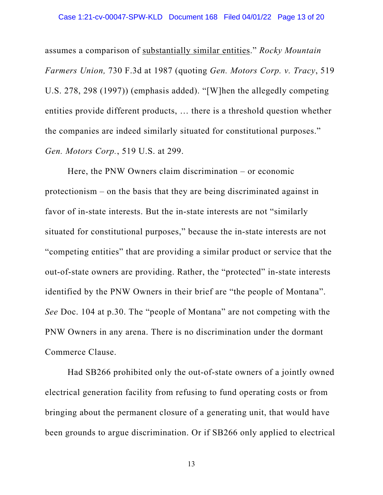assumes a comparison of substantially similar entities." *Rocky Mountain Farmers Union,* 730 F.3d at 1987 (quoting *Gen. Motors Corp. v. Tracy*, 519 U.S. 278, 298 (1997)) (emphasis added). "[W]hen the allegedly competing entities provide different products, … there is a threshold question whether the companies are indeed similarly situated for constitutional purposes." *Gen. Motors Corp.*, 519 U.S. at 299.

Here, the PNW Owners claim discrimination – or economic protectionism – on the basis that they are being discriminated against in favor of in-state interests. But the in-state interests are not "similarly situated for constitutional purposes," because the in-state interests are not "competing entities" that are providing a similar product or service that the out-of-state owners are providing. Rather, the "protected" in-state interests identified by the PNW Owners in their brief are "the people of Montana". *See* Doc. 104 at p.30. The "people of Montana" are not competing with the PNW Owners in any arena. There is no discrimination under the dormant Commerce Clause.

Had SB266 prohibited only the out-of-state owners of a jointly owned electrical generation facility from refusing to fund operating costs or from bringing about the permanent closure of a generating unit, that would have been grounds to argue discrimination. Or if SB266 only applied to electrical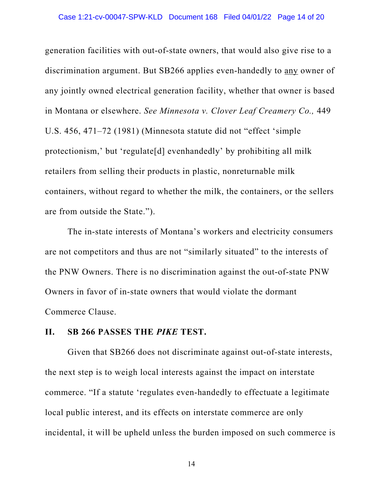generation facilities with out-of-state owners, that would also give rise to a discrimination argument. But SB266 applies even-handedly to any owner of any jointly owned electrical generation facility, whether that owner is based in Montana or elsewhere. *See Minnesota v. Clover Leaf Creamery Co.,* 449 U.S. 456, 471–72 (1981) (Minnesota statute did not "effect 'simple protectionism,' but 'regulate[d] evenhandedly' by prohibiting all milk retailers from selling their products in plastic, nonreturnable milk containers, without regard to whether the milk, the containers, or the sellers are from outside the State.").

The in-state interests of Montana's workers and electricity consumers are not competitors and thus are not "similarly situated" to the interests of the PNW Owners. There is no discrimination against the out-of-state PNW Owners in favor of in-state owners that would violate the dormant Commerce Clause.

#### **II. SB 266 PASSES THE** *PIKE* **TEST.**

Given that SB266 does not discriminate against out-of-state interests, the next step is to weigh local interests against the impact on interstate commerce. "If a statute 'regulates even-handedly to effectuate a legitimate local public interest, and its effects on interstate commerce are only incidental, it will be upheld unless the burden imposed on such commerce is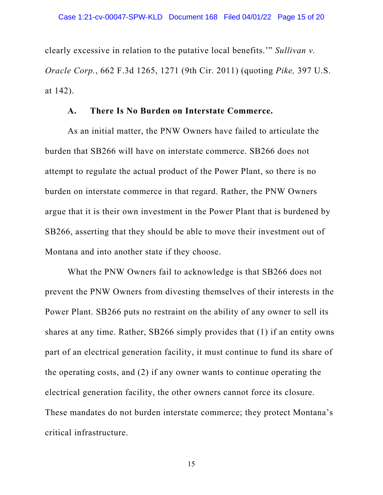clearly excessive in relation to the putative local benefits.'" *Sullivan v. Oracle Corp.*, 662 F.3d 1265, 1271 (9th Cir. 2011) (quoting *Pike,* 397 U.S. at 142).

## **A. There Is No Burden on Interstate Commerce.**

As an initial matter, the PNW Owners have failed to articulate the burden that SB266 will have on interstate commerce. SB266 does not attempt to regulate the actual product of the Power Plant, so there is no burden on interstate commerce in that regard. Rather, the PNW Owners argue that it is their own investment in the Power Plant that is burdened by SB266, asserting that they should be able to move their investment out of Montana and into another state if they choose.

What the PNW Owners fail to acknowledge is that SB266 does not prevent the PNW Owners from divesting themselves of their interests in the Power Plant. SB266 puts no restraint on the ability of any owner to sell its shares at any time. Rather, SB266 simply provides that (1) if an entity owns part of an electrical generation facility, it must continue to fund its share of the operating costs, and (2) if any owner wants to continue operating the electrical generation facility, the other owners cannot force its closure. These mandates do not burden interstate commerce; they protect Montana's critical infrastructure.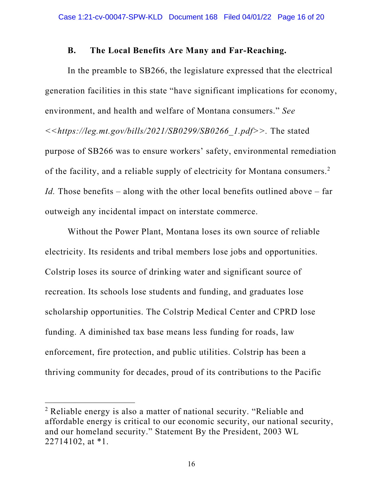#### **B. The Local Benefits Are Many and Far-Reaching.**

In the preamble to SB266, the legislature expressed that the electrical generation facilities in this state "have significant implications for economy, environment, and health and welfare of Montana consumers." *See <<https://leg.mt.gov/bills/2021/SB0299/SB0266\_1.pdf>>.* The stated purpose of SB266 was to ensure workers' safety, environmental remediation of the facility, and a reliable supply of electricity for Montana consumers.<sup>2</sup> *Id.* Those benefits – along with the other local benefits outlined above – far outweigh any incidental impact on interstate commerce.

Without the Power Plant, Montana loses its own source of reliable electricity. Its residents and tribal members lose jobs and opportunities. Colstrip loses its source of drinking water and significant source of recreation. Its schools lose students and funding, and graduates lose scholarship opportunities. The Colstrip Medical Center and CPRD lose funding. A diminished tax base means less funding for roads, law enforcement, fire protection, and public utilities. Colstrip has been a thriving community for decades, proud of its contributions to the Pacific

<sup>&</sup>lt;sup>2</sup> Reliable energy is also a matter of national security. "Reliable and affordable energy is critical to our economic security, our national security, and our homeland security." Statement By the President, 2003 WL 22714102, at \*1.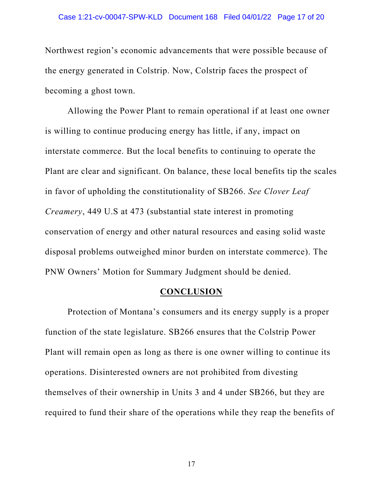#### Case 1:21-cv-00047-SPW-KLD Document 168 Filed 04/01/22 Page 17 of 20

Northwest region's economic advancements that were possible because of the energy generated in Colstrip. Now, Colstrip faces the prospect of becoming a ghost town.

Allowing the Power Plant to remain operational if at least one owner is willing to continue producing energy has little, if any, impact on interstate commerce. But the local benefits to continuing to operate the Plant are clear and significant. On balance, these local benefits tip the scales in favor of upholding the constitutionality of SB266. *See Clover Leaf Creamery*, 449 U.S at 473 (substantial state interest in promoting conservation of energy and other natural resources and easing solid waste disposal problems outweighed minor burden on interstate commerce). The PNW Owners' Motion for Summary Judgment should be denied.

#### **CONCLUSION**

Protection of Montana's consumers and its energy supply is a proper function of the state legislature. SB266 ensures that the Colstrip Power Plant will remain open as long as there is one owner willing to continue its operations. Disinterested owners are not prohibited from divesting themselves of their ownership in Units 3 and 4 under SB266, but they are required to fund their share of the operations while they reap the benefits of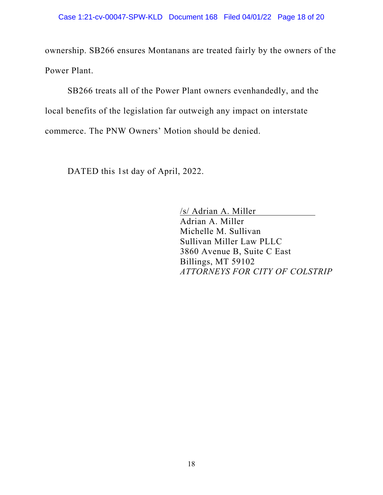ownership. SB266 ensures Montanans are treated fairly by the owners of the Power Plant.

SB266 treats all of the Power Plant owners evenhandedly, and the local benefits of the legislation far outweigh any impact on interstate commerce. The PNW Owners' Motion should be denied.

DATED this 1st day of April, 2022.

/s/ Adrian A. Miller Adrian A. Miller Michelle M. Sullivan Sullivan Miller Law PLLC 3860 Avenue B, Suite C East Billings, MT 59102 *ATTORNEYS FOR CITY OF COLSTRIP*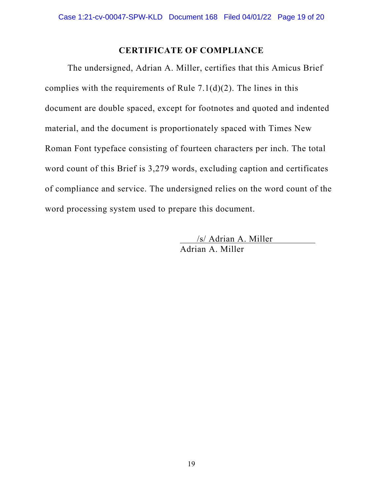## **CERTIFICATE OF COMPLIANCE**

The undersigned, Adrian A. Miller, certifies that this Amicus Brief complies with the requirements of Rule 7.1(d)(2). The lines in this document are double spaced, except for footnotes and quoted and indented material, and the document is proportionately spaced with Times New Roman Font typeface consisting of fourteen characters per inch. The total word count of this Brief is 3,279 words, excluding caption and certificates of compliance and service. The undersigned relies on the word count of the word processing system used to prepare this document.

> /s/ Adrian A. Miller Adrian A. Miller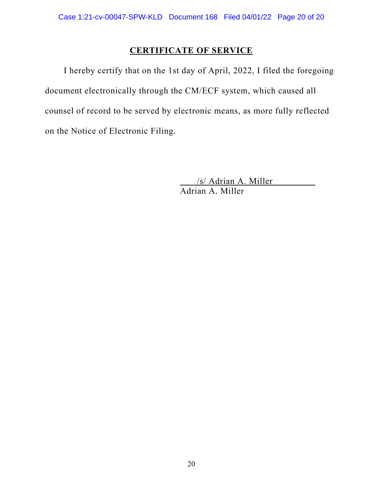# **CERTIFICATE OF SERVICE**

I hereby certify that on the 1st day of April, 2022, I filed the foregoing document electronically through the CM/ECF system, which caused all counsel of record to be served by electronic means, as more fully reflected on the Notice of Electronic Filing.

> /s/ Adrian A. Miller Adrian A. Miller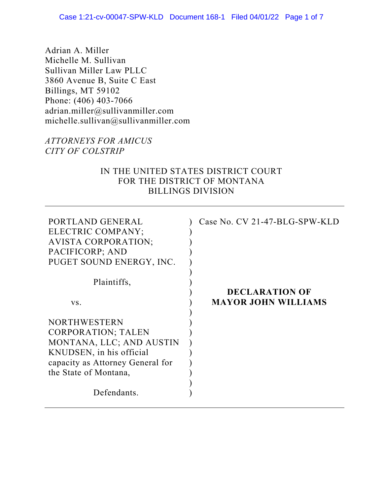Adrian A. Miller Michelle M. Sullivan Sullivan Miller Law PLLC 3860 Avenue B, Suite C East Billings, MT 59102 Phone: (406) 403-7066 adrian.miller@sullivanmiller.com michelle.sullivan@sullivanmiller.com

## *ATTORNEYS FOR AMICUS CITY OF COLSTRIP*

## IN THE UNITED STATES DISTRICT COURT FOR THE DISTRICT OF MONTANA BILLINGS DIVISION

| PORTLAND GENERAL<br>ELECTRIC COMPANY;<br><b>AVISTA CORPORATION;</b><br>PACIFICORP; AND<br>PUGET SOUND ENERGY, INC.                                                    | Case No. CV 21-47-BLG-SPW-KLD                       |
|-----------------------------------------------------------------------------------------------------------------------------------------------------------------------|-----------------------------------------------------|
| Plaintiffs,                                                                                                                                                           |                                                     |
| VS.                                                                                                                                                                   | <b>DECLARATION OF</b><br><b>MAYOR JOHN WILLIAMS</b> |
| <b>NORTHWESTERN</b><br><b>CORPORATION; TALEN</b><br>MONTANA, LLC; AND AUSTIN<br>KNUDSEN, in his official<br>capacity as Attorney General for<br>the State of Montana, |                                                     |
| Defendants.                                                                                                                                                           |                                                     |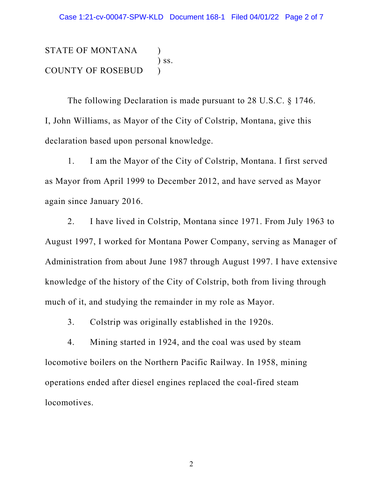STATE OF MONTANA ) ) ss. COUNTY OF ROSEBUD )

 The following Declaration is made pursuant to 28 U.S.C. § 1746. I, John Williams, as Mayor of the City of Colstrip, Montana, give this declaration based upon personal knowledge.

1. I am the Mayor of the City of Colstrip, Montana. I first served as Mayor from April 1999 to December 2012, and have served as Mayor again since January 2016.

2. I have lived in Colstrip, Montana since 1971. From July 1963 to August 1997, I worked for Montana Power Company, serving as Manager of Administration from about June 1987 through August 1997. I have extensive knowledge of the history of the City of Colstrip, both from living through much of it, and studying the remainder in my role as Mayor.

3. Colstrip was originally established in the 1920s.

4. Mining started in 1924, and the coal was used by steam locomotive boilers on the Northern Pacific Railway. In 1958, mining operations ended after diesel engines replaced the coal-fired steam locomotives.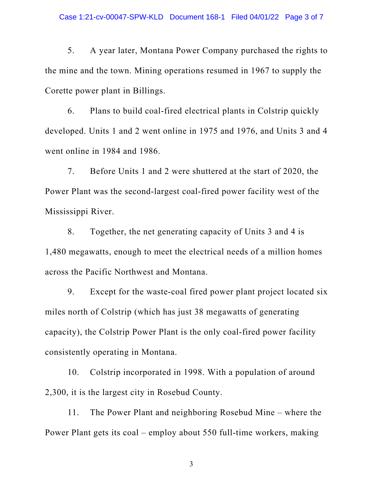5. A year later, Montana Power Company purchased the rights to the mine and the town. Mining operations resumed in 1967 to supply the Corette power plant in Billings.

6. Plans to build coal-fired electrical plants in Colstrip quickly developed. Units 1 and 2 went online in 1975 and 1976, and Units 3 and 4 went online in 1984 and 1986.

7. Before Units 1 and 2 were shuttered at the start of 2020, the Power Plant was the second-largest coal-fired power facility west of the Mississippi River.

8. Together, the net generating capacity of Units 3 and 4 is 1,480 megawatts, enough to meet the electrical needs of a million homes across the Pacific Northwest and Montana.

9. Except for the waste-coal fired power plant project located six miles north of Colstrip (which has just 38 megawatts of generating capacity), the Colstrip Power Plant is the only coal-fired power facility consistently operating in Montana.

10. Colstrip incorporated in 1998. With a population of around 2,300, it is the largest city in Rosebud County.

11. The Power Plant and neighboring Rosebud Mine – where the Power Plant gets its coal – employ about 550 full-time workers, making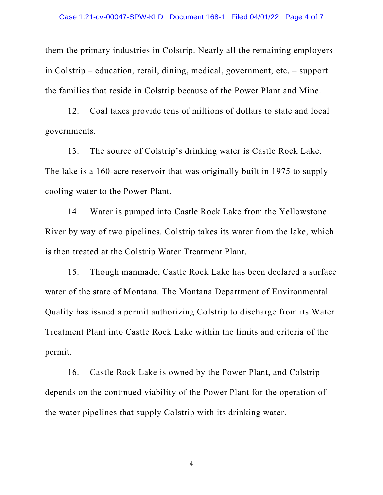them the primary industries in Colstrip. Nearly all the remaining employers in Colstrip – education, retail, dining, medical, government, etc. – support the families that reside in Colstrip because of the Power Plant and Mine.

12. Coal taxes provide tens of millions of dollars to state and local governments.

13. The source of Colstrip's drinking water is Castle Rock Lake. The lake is a 160-acre reservoir that was originally built in 1975 to supply cooling water to the Power Plant.

14. Water is pumped into Castle Rock Lake from the Yellowstone River by way of two pipelines. Colstrip takes its water from the lake, which is then treated at the Colstrip Water Treatment Plant.

15. Though manmade, Castle Rock Lake has been declared a surface water of the state of Montana. The Montana Department of Environmental Quality has issued a permit authorizing Colstrip to discharge from its Water Treatment Plant into Castle Rock Lake within the limits and criteria of the permit.

16. Castle Rock Lake is owned by the Power Plant, and Colstrip depends on the continued viability of the Power Plant for the operation of the water pipelines that supply Colstrip with its drinking water.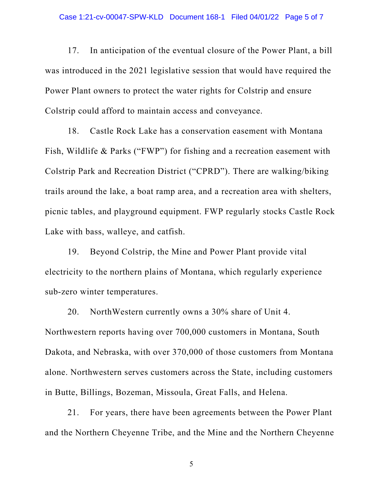17. In anticipation of the eventual closure of the Power Plant, a bill was introduced in the 2021 legislative session that would have required the Power Plant owners to protect the water rights for Colstrip and ensure Colstrip could afford to maintain access and conveyance.

18. Castle Rock Lake has a conservation easement with Montana Fish, Wildlife & Parks ("FWP") for fishing and a recreation easement with Colstrip Park and Recreation District ("CPRD"). There are walking/biking trails around the lake, a boat ramp area, and a recreation area with shelters, picnic tables, and playground equipment. FWP regularly stocks Castle Rock Lake with bass, walleye, and catfish.

19. Beyond Colstrip, the Mine and Power Plant provide vital electricity to the northern plains of Montana, which regularly experience sub-zero winter temperatures.

20. NorthWestern currently owns a 30% share of Unit 4. Northwestern reports having over 700,000 customers in Montana, South Dakota, and Nebraska, with over 370,000 of those customers from Montana alone. Northwestern serves customers across the State, including customers in Butte, Billings, Bozeman, Missoula, Great Falls, and Helena.

21. For years, there have been agreements between the Power Plant and the Northern Cheyenne Tribe, and the Mine and the Northern Cheyenne